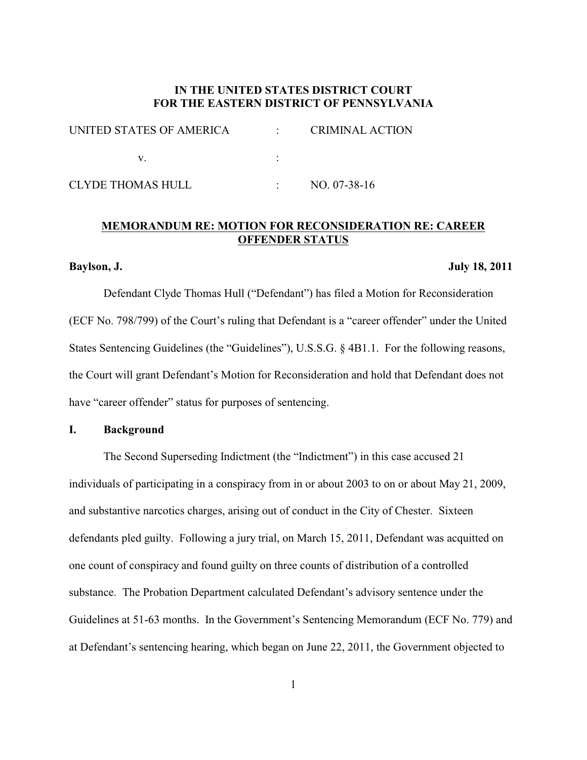# **IN THE UNITED STATES DISTRICT COURT FOR THE EASTERN DISTRICT OF PENNSYLVANIA**

| UNITED STATES OF AMERICA | <b>CRIMINAL ACTION</b> |
|--------------------------|------------------------|
|                          |                        |
| CLYDE THOMAS HULL        | NO. 07-38-16           |

# **MEMORANDUM RE: MOTION FOR RECONSIDERATION RE: CAREER OFFENDER STATUS**

### **Baylson, J. July 18, 2011**

Defendant Clyde Thomas Hull ("Defendant") has filed a Motion for Reconsideration (ECF No. 798/799) of the Court's ruling that Defendant is a "career offender" under the United States Sentencing Guidelines (the "Guidelines"), U.S.S.G. § 4B1.1. For the following reasons, the Court will grant Defendant's Motion for Reconsideration and hold that Defendant does not have "career offender" status for purposes of sentencing.

## **I. Background**

 The Second Superseding Indictment (the "Indictment") in this case accused 21 individuals of participating in a conspiracy from in or about 2003 to on or about May 21, 2009, and substantive narcotics charges, arising out of conduct in the City of Chester. Sixteen defendants pled guilty. Following a jury trial, on March 15, 2011, Defendant was acquitted on one count of conspiracy and found guilty on three counts of distribution of a controlled substance. The Probation Department calculated Defendant's advisory sentence under the Guidelines at 51-63 months. In the Government's Sentencing Memorandum (ECF No. 779) and at Defendant's sentencing hearing, which began on June 22, 2011, the Government objected to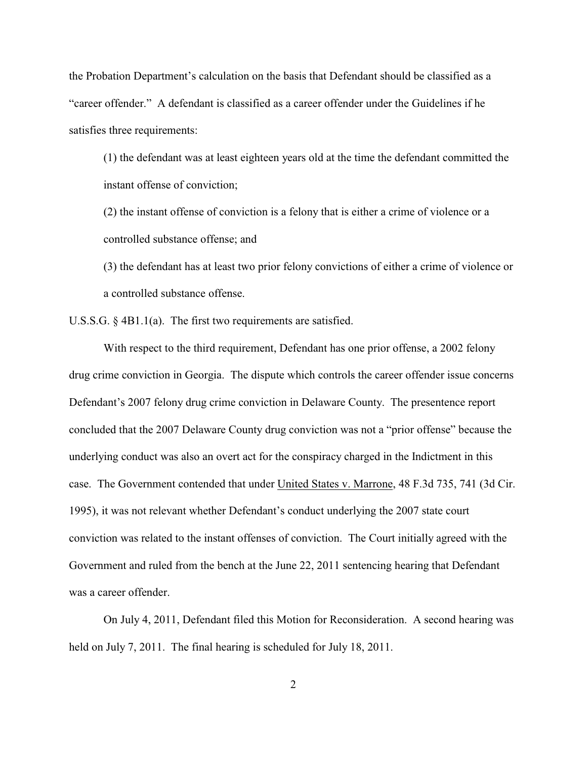the Probation Department's calculation on the basis that Defendant should be classified as a "career offender." A defendant is classified as a career offender under the Guidelines if he satisfies three requirements:

(1) the defendant was at least eighteen years old at the time the defendant committed the instant offense of conviction;

(2) the instant offense of conviction is a felony that is either a crime of violence or a controlled substance offense; and

(3) the defendant has at least two prior felony convictions of either a crime of violence or a controlled substance offense.

U.S.S.G. § 4B1.1(a). The first two requirements are satisfied.

With respect to the third requirement, Defendant has one prior offense, a 2002 felony drug crime conviction in Georgia. The dispute which controls the career offender issue concerns Defendant's 2007 felony drug crime conviction in Delaware County. The presentence report concluded that the 2007 Delaware County drug conviction was not a "prior offense" because the underlying conduct was also an overt act for the conspiracy charged in the Indictment in this case. The Government contended that under United States v. Marrone, 48 F.3d 735, 741 (3d Cir. 1995), it was not relevant whether Defendant's conduct underlying the 2007 state court conviction was related to the instant offenses of conviction. The Court initially agreed with the Government and ruled from the bench at the June 22, 2011 sentencing hearing that Defendant was a career offender.

On July 4, 2011, Defendant filed this Motion for Reconsideration. A second hearing was held on July 7, 2011. The final hearing is scheduled for July 18, 2011.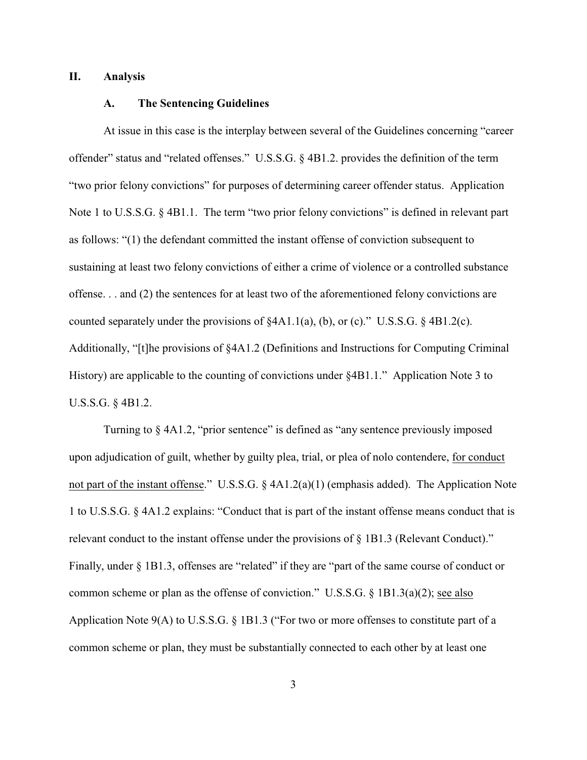### **II. Analysis**

#### **A. The Sentencing Guidelines**

At issue in this case is the interplay between several of the Guidelines concerning "career offender" status and "related offenses." U.S.S.G. § 4B1.2. provides the definition of the term "two prior felony convictions" for purposes of determining career offender status. Application Note 1 to U.S.S.G. § 4B1.1. The term "two prior felony convictions" is defined in relevant part as follows: "(1) the defendant committed the instant offense of conviction subsequent to sustaining at least two felony convictions of either a crime of violence or a controlled substance offense. . . and (2) the sentences for at least two of the aforementioned felony convictions are counted separately under the provisions of  $§4A1.1(a)$ , (b), or (c)." U.S.S.G.  $§4B1.2(c)$ . Additionally, "[t]he provisions of §4A1.2 (Definitions and Instructions for Computing Criminal History) are applicable to the counting of convictions under §4B1.1." Application Note 3 to U.S.S.G. § 4B1.2.

Turning to § 4A1.2, "prior sentence" is defined as "any sentence previously imposed upon adjudication of guilt, whether by guilty plea, trial, or plea of nolo contendere, for conduct not part of the instant offense." U.S.S.G. § 4A1.2(a)(1) (emphasis added). The Application Note 1 to U.S.S.G. § 4A1.2 explains: "Conduct that is part of the instant offense means conduct that is relevant conduct to the instant offense under the provisions of § 1B1.3 (Relevant Conduct)." Finally, under § 1B1.3, offenses are "related" if they are "part of the same course of conduct or common scheme or plan as the offense of conviction." U.S.S.G. § 1B1.3(a)(2); see also Application Note 9(A) to U.S.S.G. § 1B1.3 ("For two or more offenses to constitute part of a common scheme or plan, they must be substantially connected to each other by at least one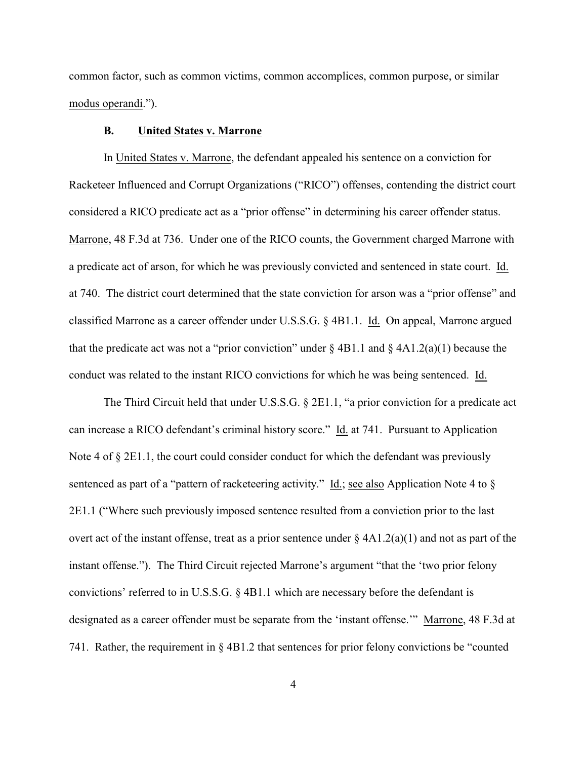common factor, such as common victims, common accomplices, common purpose, or similar modus operandi.").

### **B. United States v. Marrone**

In United States v. Marrone, the defendant appealed his sentence on a conviction for Racketeer Influenced and Corrupt Organizations ("RICO") offenses, contending the district court considered a RICO predicate act as a "prior offense" in determining his career offender status. Marrone, 48 F.3d at 736. Under one of the RICO counts, the Government charged Marrone with a predicate act of arson, for which he was previously convicted and sentenced in state court. Id. at 740. The district court determined that the state conviction for arson was a "prior offense" and classified Marrone as a career offender under U.S.S.G. § 4B1.1. Id. On appeal, Marrone argued that the predicate act was not a "prior conviction" under  $\S$  4B1.1 and  $\S$  4A1.2(a)(1) because the conduct was related to the instant RICO convictions for which he was being sentenced. Id.

The Third Circuit held that under U.S.S.G. § 2E1.1, "a prior conviction for a predicate act can increase a RICO defendant's criminal history score." Id. at 741. Pursuant to Application Note 4 of  $\S 2E1.1$ , the court could consider conduct for which the defendant was previously sentenced as part of a "pattern of racketeering activity." Id.; see also Application Note 4 to  $\S$ 2E1.1 ("Where such previously imposed sentence resulted from a conviction prior to the last overt act of the instant offense, treat as a prior sentence under  $\S 4A1.2(a)(1)$  and not as part of the instant offense."). The Third Circuit rejected Marrone's argument "that the 'two prior felony convictions' referred to in U.S.S.G. § 4B1.1 which are necessary before the defendant is designated as a career offender must be separate from the 'instant offense.'" Marrone, 48 F.3d at 741. Rather, the requirement in § 4B1.2 that sentences for prior felony convictions be "counted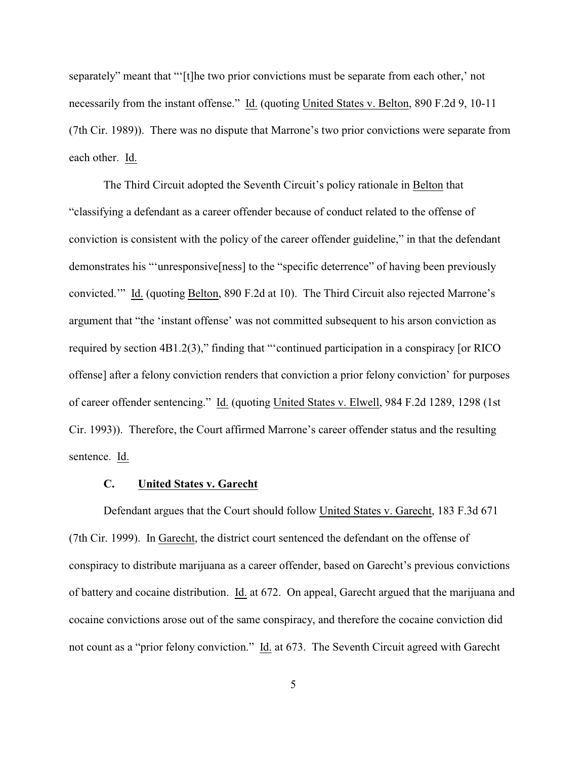separately" meant that "'[t]he two prior convictions must be separate from each other,' not necessarily from the instant offense." Id. (quoting United States v. Belton, 890 F.2d 9, 10-11 (7th Cir. 1989)). There was no dispute that Marrone's two prior convictions were separate from each other. Id.

The Third Circuit adopted the Seventh Circuit's policy rationale in Belton that "classifying a defendant as a career offender because of conduct related to the offense of conviction is consistent with the policy of the career offender guideline," in that the defendant demonstrates his "'unresponsive[ness] to the "specific deterrence" of having been previously convicted.'" Id. (quoting Belton, 890 F.2d at 10). The Third Circuit also rejected Marrone's argument that "the 'instant offense' was not committed subsequent to his arson conviction as required by section 4B1.2(3)," finding that "'continued participation in a conspiracy [or RICO offense] after a felony conviction renders that conviction a prior felony conviction' for purposes of career offender sentencing." Id. (quoting United States v. Elwell, 984 F.2d 1289, 1298 (1st Cir. 1993)). Therefore, the Court affirmed Marrone's career offender status and the resulting sentence. Id.

## **C. United States v. Garecht**

Defendant argues that the Court should follow United States v. Garecht, 183 F.3d 671 (7th Cir. 1999). In Garecht, the district court sentenced the defendant on the offense of conspiracy to distribute marijuana as a career offender, based on Garecht's previous convictions of battery and cocaine distribution. Id. at 672. On appeal, Garecht argued that the marijuana and cocaine convictions arose out of the same conspiracy, and therefore the cocaine conviction did not count as a "prior felony conviction." Id. at 673. The Seventh Circuit agreed with Garecht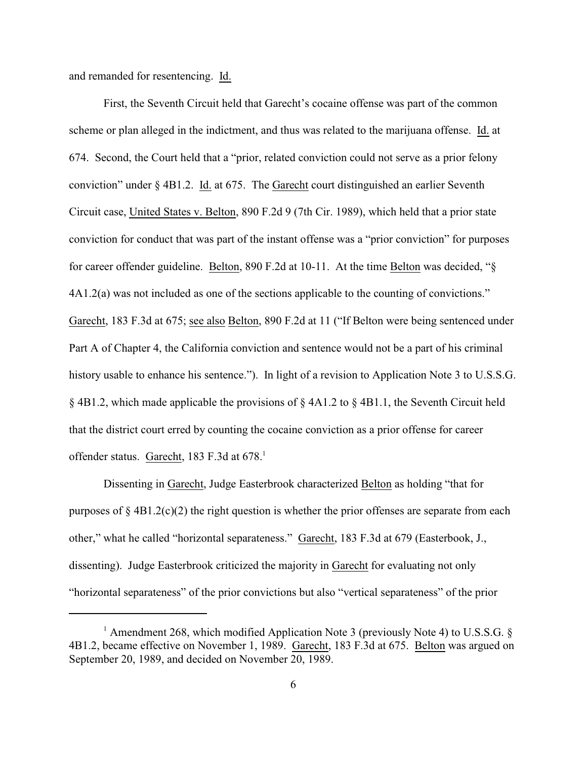and remanded for resentencing. Id.

First, the Seventh Circuit held that Garecht's cocaine offense was part of the common scheme or plan alleged in the indictment, and thus was related to the marijuana offense. Id. at 674. Second, the Court held that a "prior, related conviction could not serve as a prior felony conviction" under § 4B1.2. Id. at 675. The Garecht court distinguished an earlier Seventh Circuit case, United States v. Belton, 890 F.2d 9 (7th Cir. 1989), which held that a prior state conviction for conduct that was part of the instant offense was a "prior conviction" for purposes for career offender guideline. Belton, 890 F.2d at 10-11. At the time Belton was decided, "§ 4A1.2(a) was not included as one of the sections applicable to the counting of convictions." Garecht, 183 F.3d at 675; see also Belton, 890 F.2d at 11 ("If Belton were being sentenced under Part A of Chapter 4, the California conviction and sentence would not be a part of his criminal history usable to enhance his sentence."). In light of a revision to Application Note 3 to U.S.S.G.  $\S$  4B1.2, which made applicable the provisions of  $\S$  4A1.2 to  $\S$  4B1.1, the Seventh Circuit held that the district court erred by counting the cocaine conviction as a prior offense for career offender status. Garecht, 183 F.3d at 678.<sup>1</sup>

Dissenting in Garecht, Judge Easterbrook characterized Belton as holding "that for purposes of  $\S$  4B1.2(c)(2) the right question is whether the prior offenses are separate from each other," what he called "horizontal separateness." Garecht, 183 F.3d at 679 (Easterbook, J., dissenting). Judge Easterbrook criticized the majority in Garecht for evaluating not only "horizontal separateness" of the prior convictions but also "vertical separateness" of the prior

<sup>&</sup>lt;sup>1</sup> Amendment 268, which modified Application Note 3 (previously Note 4) to U.S.S.G.  $\S$ 4B1.2, became effective on November 1, 1989. Garecht, 183 F.3d at 675. Belton was argued on September 20, 1989, and decided on November 20, 1989.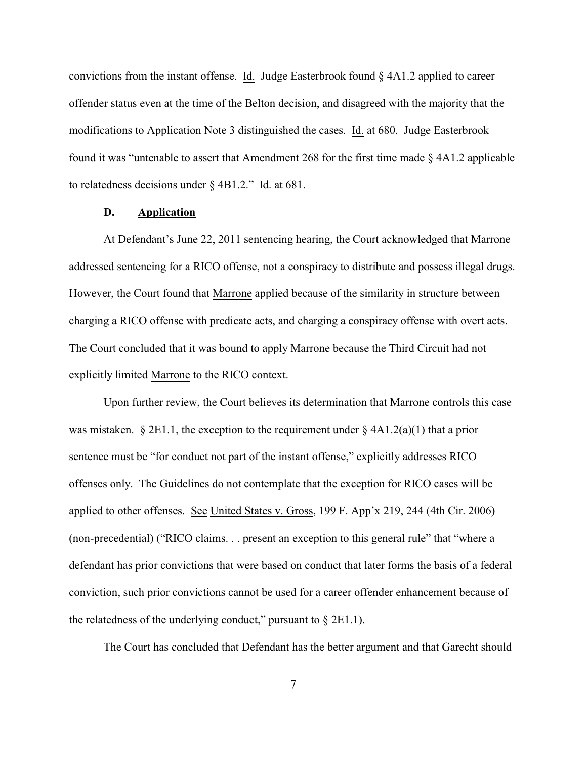convictions from the instant offense. Id. Judge Easterbrook found § 4A1.2 applied to career offender status even at the time of the Belton decision, and disagreed with the majority that the modifications to Application Note 3 distinguished the cases. Id. at 680. Judge Easterbrook found it was "untenable to assert that Amendment 268 for the first time made § 4A1.2 applicable to relatedness decisions under § 4B1.2." Id. at 681.

## **D. Application**

At Defendant's June 22, 2011 sentencing hearing, the Court acknowledged that Marrone addressed sentencing for a RICO offense, not a conspiracy to distribute and possess illegal drugs. However, the Court found that Marrone applied because of the similarity in structure between charging a RICO offense with predicate acts, and charging a conspiracy offense with overt acts. The Court concluded that it was bound to apply Marrone because the Third Circuit had not explicitly limited Marrone to the RICO context.

Upon further review, the Court believes its determination that Marrone controls this case was mistaken.  $\S 2E1.1$ , the exception to the requirement under  $\S 4A1.2(a)(1)$  that a prior sentence must be "for conduct not part of the instant offense," explicitly addresses RICO offenses only. The Guidelines do not contemplate that the exception for RICO cases will be applied to other offenses. See United States v. Gross, 199 F. App'x 219, 244 (4th Cir. 2006) (non-precedential) ("RICO claims. . . present an exception to this general rule" that "where a defendant has prior convictions that were based on conduct that later forms the basis of a federal conviction, such prior convictions cannot be used for a career offender enhancement because of the relatedness of the underlying conduct," pursuant to  $\S$  2E1.1).

The Court has concluded that Defendant has the better argument and that Garecht should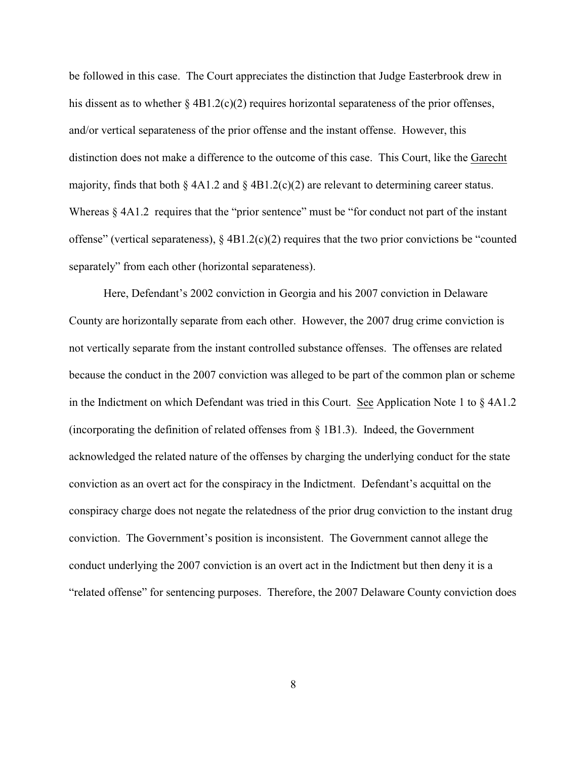be followed in this case. The Court appreciates the distinction that Judge Easterbrook drew in his dissent as to whether  $\S 4B1.2(c)(2)$  requires horizontal separateness of the prior offenses, and/or vertical separateness of the prior offense and the instant offense. However, this distinction does not make a difference to the outcome of this case. This Court, like the Garecht majority, finds that both  $\S$  4A1.2 and  $\S$  4B1.2(c)(2) are relevant to determining career status. Whereas  $\S 4A1.2$  requires that the "prior sentence" must be "for conduct not part of the instant offense" (vertical separateness),  $\S$  4B1.2(c)(2) requires that the two prior convictions be "counted separately" from each other (horizontal separateness).

Here, Defendant's 2002 conviction in Georgia and his 2007 conviction in Delaware County are horizontally separate from each other. However, the 2007 drug crime conviction is not vertically separate from the instant controlled substance offenses. The offenses are related because the conduct in the 2007 conviction was alleged to be part of the common plan or scheme in the Indictment on which Defendant was tried in this Court. See Application Note 1 to  $\S 4A1.2$ (incorporating the definition of related offenses from § 1B1.3). Indeed, the Government acknowledged the related nature of the offenses by charging the underlying conduct for the state conviction as an overt act for the conspiracy in the Indictment. Defendant's acquittal on the conspiracy charge does not negate the relatedness of the prior drug conviction to the instant drug conviction. The Government's position is inconsistent. The Government cannot allege the conduct underlying the 2007 conviction is an overt act in the Indictment but then deny it is a "related offense" for sentencing purposes. Therefore, the 2007 Delaware County conviction does

8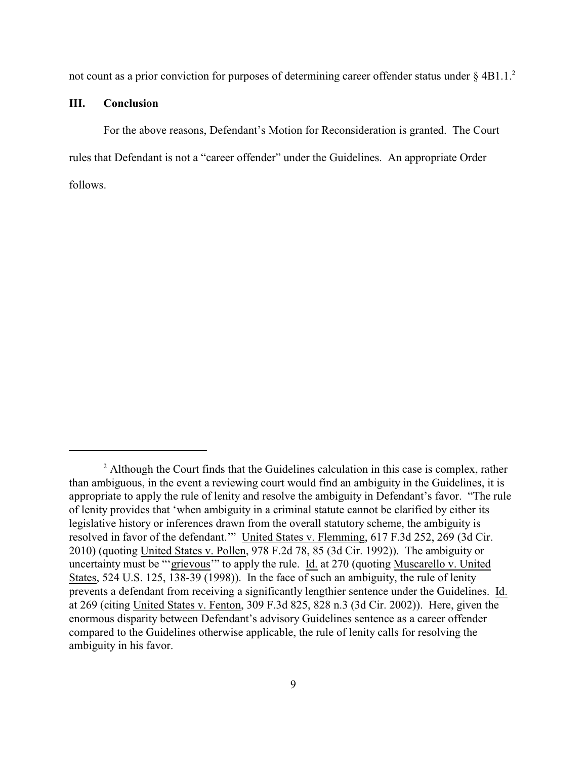not count as a prior conviction for purposes of determining career offender status under  $\S 4B1.1$ .<sup>2</sup>

#### **III. Conclusion**

For the above reasons, Defendant's Motion for Reconsideration is granted. The Court rules that Defendant is not a "career offender" under the Guidelines. An appropriate Order follows.

<sup>&</sup>lt;sup>2</sup> Although the Court finds that the Guidelines calculation in this case is complex, rather than ambiguous, in the event a reviewing court would find an ambiguity in the Guidelines, it is appropriate to apply the rule of lenity and resolve the ambiguity in Defendant's favor. "The rule of lenity provides that 'when ambiguity in a criminal statute cannot be clarified by either its legislative history or inferences drawn from the overall statutory scheme, the ambiguity is resolved in favor of the defendant.'" United States v. Flemming, 617 F.3d 252, 269 (3d Cir. 2010) (quoting United States v. Pollen, 978 F.2d 78, 85 (3d Cir. 1992)). The ambiguity or uncertainty must be "'grievous'" to apply the rule. Id. at 270 (quoting Muscarello v. United States, 524 U.S. 125, 138-39 (1998)). In the face of such an ambiguity, the rule of lenity prevents a defendant from receiving a significantly lengthier sentence under the Guidelines. Id. at 269 (citing United States v. Fenton, 309 F.3d 825, 828 n.3 (3d Cir. 2002)). Here, given the enormous disparity between Defendant's advisory Guidelines sentence as a career offender compared to the Guidelines otherwise applicable, the rule of lenity calls for resolving the ambiguity in his favor.